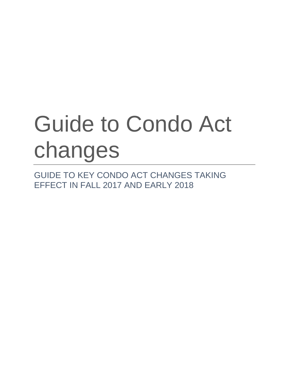# Guide to Condo Act changes

GUIDE TO KEY CONDO ACT CHANGES TAKING EFFECT IN FALL 2017 AND EARLY 2018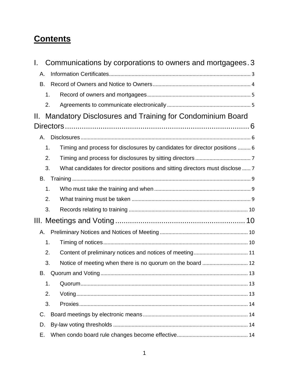# **Contents**

| L. |    | Communications by corporations to owners and mortgagees. 3                    |
|----|----|-------------------------------------------------------------------------------|
| Α. |    |                                                                               |
| В. |    |                                                                               |
|    | 1. |                                                                               |
|    | 2. |                                                                               |
| Ш. |    | Mandatory Disclosures and Training for Condominium Board                      |
|    |    |                                                                               |
| А. |    |                                                                               |
|    | 1. | Timing and process for disclosures by candidates for director positions  6    |
|    | 2. |                                                                               |
|    | 3. | What candidates for director positions and sitting directors must disclose  7 |
| В. |    |                                                                               |
|    | 1. |                                                                               |
|    | 2. |                                                                               |
|    | 3. |                                                                               |
|    |    |                                                                               |
| А. |    |                                                                               |
|    | 1. |                                                                               |
|    | 2. |                                                                               |
|    | 3. |                                                                               |
| В. |    |                                                                               |
|    | 1. |                                                                               |
|    | 2. |                                                                               |
|    | 3. |                                                                               |
| C. |    |                                                                               |
| D. |    |                                                                               |
| Е. |    |                                                                               |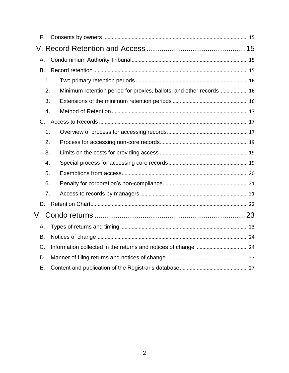| F.            |                                                                     |  |
|---------------|---------------------------------------------------------------------|--|
|               |                                                                     |  |
| Α.            |                                                                     |  |
| B.            |                                                                     |  |
| $\mathbf 1$ . |                                                                     |  |
| 2.            | Minimum retention period for proxies, ballots, and other records 16 |  |
| 3.            |                                                                     |  |
| 4.            |                                                                     |  |
| C.            |                                                                     |  |
| $\mathbf 1$ . |                                                                     |  |
| 2.            |                                                                     |  |
| 3.            |                                                                     |  |
| 4.            |                                                                     |  |
| 5.            |                                                                     |  |
| 6.            |                                                                     |  |
| 7.            |                                                                     |  |
| D.            |                                                                     |  |
| V.            |                                                                     |  |
| Α.            |                                                                     |  |
| В.            |                                                                     |  |
| C.            |                                                                     |  |
| D.            |                                                                     |  |
| Е.            |                                                                     |  |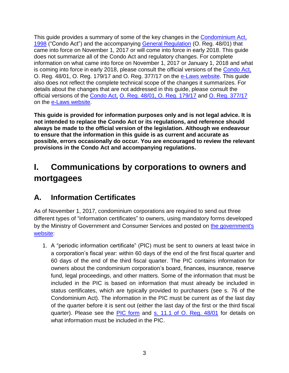This guide provides a summary of some of the key changes in the [Condominium Act,](https://www.ontario.ca/laws/statute/98c19) 1998 ("Condo Act") and the accompanying [General Regulation](https://www.ontario.ca/laws/regulation/010048) (O. Reg. 48/01) that came into force on November 1, 2017 or will come into force in early 2018. This guide does not summarize all of the Condo Act and regulatory changes. For complete information on what came into force on November 1, 2017 or January 1, 2018 and what is coming into force in early 2018, please consult the official versions of the [Condo Act,](https://www.ontario.ca/laws/statute/98c19) [O. Reg. 48/01,](https://www.ontario.ca/laws/regulation/010048) O. Reg. 179/17 and O. Reg. 377/17 on the [e-Laws website.](https://www.ontario.ca/laws) This guide also does not reflect the complete technical scope of the changes it summarizes. For details about the changes that are not addressed in this guide, please consult the official versions of the [Condo Act,](https://www.ontario.ca/laws/statute/98c19) [O. Reg. 48/01,](https://www.ontario.ca/laws/regulation/010048) [O. Reg. 179/17](https://www.ontario.ca/laws/regulation/170179) and [O. Reg. 377/17](https://www.ontario.ca/laws/regulation/170377) on the [e-Laws website.](https://www.ontario.ca/laws)

**This guide is provided for information purposes only and is not legal advice. It is not intended to replace the Condo Act or its regulations, and reference should always be made to the official version of the legislation. Although we endeavour to ensure that the information in this guide is as current and accurate as possible, errors occasionally do occur. You are encouraged to review the relevant provisions in the Condo Act and accompanying regulations.**

## <span id="page-3-0"></span>**I. Communications by corporations to owners and mortgagees**

## <span id="page-3-1"></span>**A. Information Certificates**

As of November 1, 2017, condominium corporations are required to send out three different types of "information certificates" to owners, using mandatory forms developed by the Ministry of Government and Consumer Services and posted on [the government's](https://www.ontario.ca/search/land-registration?sort=desc&field_forms_act_tid=condominium)  [website:](https://www.ontario.ca/search/land-registration?sort=desc&field_forms_act_tid=condominium)

1. A "periodic information certificate" (PIC) must be sent to owners at least twice in a corporation's fiscal year: within 60 days of the end of the first fiscal quarter and 60 days of the end of the third fiscal quarter. The PIC contains information for owners about the condominium corporation's board, finances, insurance, reserve fund, legal proceedings, and other matters. Some of the information that must be included in the PIC is based on information that must already be included in status certificates, which are typically provided to purchasers (see s. 76 of the Condominium Act). The information in the PIC must be current as of the last day of the quarter before it is sent out (either the last day of the first or the third fiscal quarter). Please see the [PIC form](https://files.ontario.ca/periodic_information_certificate_en.pdf) and [s. 11.1 of O. Reg. 48/01](https://www.ontario.ca/laws/regulation/010048) for details on what information must be included in the PIC.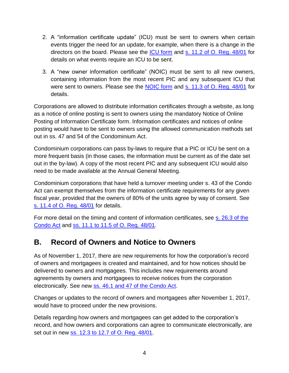- 2. A "information certificate update" (ICU) must be sent to owners when certain events trigger the need for an update, for example, when there is a change in the directors on the board. Please see the [ICU form](https://files.ontario.ca/information_certificate_update_en.pdf) and [s. 11.2 of O. Reg. 48/01](https://www.ontario.ca/laws/regulation/010048) for details on what events require an ICU to be sent.
- 3. A "new owner information certificate" (NOIC) must be sent to all new owners, containing information from the most recent PIC and any subsequent ICU that were sent to owners. Please see the [NOIC form](https://files.ontario.ca/new_owner_infromation_certificate_en.pdf) and [s. 11.3 of O. Reg. 48/01](https://www.ontario.ca/laws/regulation/010048) for details.

Corporations are allowed to distribute information certificates through a website, as long as a notice of online posting is sent to owners using the mandatory Notice of Online Posting of Information Certificate form. Information certificates and notices of online posting would have to be sent to owners using the allowed communication methods set out in ss. 47 and 54 of the Condominium Act.

Condominium corporations can pass by-laws to require that a PIC or ICU be sent on a more frequent basis (in those cases, the information must be current as of the date set out in the by-law). A copy of the most recent PIC and any subsequent ICU would also need to be made available at the Annual General Meeting.

Condominium corporations that have held a turnover meeting under s. 43 of the Condo Act can exempt themselves from the information certificate requirements for any given fiscal year, provided that the owners of 80% of the units agree by way of consent. See [s. 11.4 of O. Reg. 48/01](https://www.ontario.ca/laws/regulation/010048) for details.

For more detail on the timing and content of information certificates, see [s. 26.3 of the](https://www.ontario.ca/laws/statute/98c19)  [Condo Act](https://www.ontario.ca/laws/statute/98c19) and [ss. 11.1 to 11.5 of O. Reg. 48/01.](https://www.ontario.ca/laws/regulation/010048)

## <span id="page-4-0"></span>**B. Record of Owners and Notice to Owners**

As of November 1, 2017, there are new requirements for how the corporation's record of owners and mortgagees is created and maintained, and for how notices should be delivered to owners and mortgagees. This includes new requirements around agreements by owners and mortgagees to receive notices from the corporation electronically. See new [ss. 46.1 and 47 of the Condo Act.](https://www.ontario.ca/laws/statute/98c19)

Changes or updates to the record of owners and mortgagees after November 1, 2017, would have to proceed under the new provisions.

Details regarding how owners and mortgagees can get added to the corporation's record, and how owners and corporations can agree to communicate electronically, are set out in new [ss. 12.3 to 12.7 of O. Reg. 48/01.](https://www.ontario.ca/laws/regulation/010048)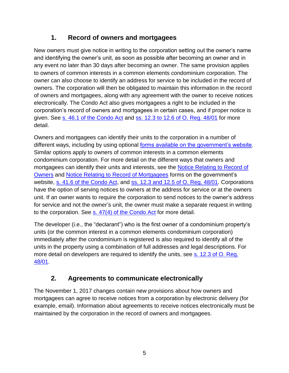## **1. Record of owners and mortgagees**

<span id="page-5-0"></span>New owners must give notice in writing to the corporation setting out the owner's name and identifying the owner's unit, as soon as possible after becoming an owner and in any event no later than 30 days after becoming an owner. The same provision applies to owners of common interests in a common elements condominium corporation. The owner can also choose to identify an address for service to be included in the record of owners. The corporation will then be obligated to maintain this information in the record of owners and mortgagees, along with any agreement with the owner to receive notices electronically. The Condo Act also gives mortgagees a right to be included in the corporation's record of owners and mortgagees in certain cases, and if proper notice is given. See [s. 46.1 of the Condo Act](https://www.ontario.ca/laws/statute/98c19) and ss. 12.3 to 12.6 [of O. Reg. 48/01](https://www.ontario.ca/laws/regulation/010048) for more detail.

Owners and mortgagees can identify their units to the corporation in a number of different ways, including by using optional [forms available on the government's website.](https://www.ontario.ca/search/land-registration?sort=desc&field_forms_act_tid=condominium) Similar options apply to owners of common interests in a common elements condominium corporation. For more detail on the different ways that owners and mortgagees can identify their units and interests, see the [Notice Relating to Record of](https://files.ontario.ca/notice_relating_to_record_of_owners_en.pdf)  [Owners](https://files.ontario.ca/notice_relating_to_record_of_owners_en.pdf) and [Notice Relating to Record of Mortgagees](https://files.ontario.ca/notice_related_to_record_of_mortgagees_en.pdf) forms on the government's website, [s. 41.6 of the Condo Act,](https://www.ontario.ca/laws/statute/98c19) and ss. [12.3 and 12.5 of O. Reg. 48/01.](https://www.ontario.ca/laws/regulation/010048) Corporations have the option of serving notices to owners at the address for service or at the owners unit. If an owner wants to require the corporation to send notices to the owner's address for service and not the owner's unit, the owner must make a separate request in writing to the corporation. See  $s. 47(4)$  of the Condo Act for more detail.

The developer (i.e., the "declarant") who is the first owner of a condominium property's units (or the common interest in a common elements condominium corporation) immediately after the condominium is registered is also required to identify all of the units in the property using a combination of full addresses and legal descriptions. For more detail on developers are required to identify the units, see s. [12.3 of O. Reg.](https://www.ontario.ca/laws/regulation/010048)  [48/01.](https://www.ontario.ca/laws/regulation/010048)

## **2. Agreements to communicate electronically**

<span id="page-5-1"></span>The November 1, 2017 changes contain new provisions about how owners and mortgagees can agree to receive notices from a corporation by electronic delivery (for example, email). Information about agreements to receive notices electronically must be maintained by the corporation in the record of owners and mortgagees.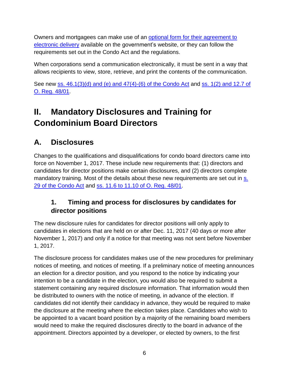Owners and mortgagees can make use of an [optional form for their agreement to](https://files.ontario.ca/agreement_to_recieve_notices_electronically_en.pdf)  [electronic delivery](https://files.ontario.ca/agreement_to_recieve_notices_electronically_en.pdf) available on the government's website, or they can follow the requirements set out in the Condo Act and the regulations.

When corporations send a communication electronically, it must be sent in a way that allows recipients to view, store, retrieve, and print the contents of the communication.

See new [ss. 46.1\(3\)\(d\) and \(e\) and 47\(4\)-\(6\) of the Condo Act](https://www.ontario.ca/laws/statute/98c19) and [ss. 1\(2\) and 12.7 of](https://www.ontario.ca/laws/regulation/010048)  [O. Reg. 48/01.](https://www.ontario.ca/laws/regulation/010048)

# <span id="page-6-0"></span>**II. Mandatory Disclosures and Training for Condominium Board Directors**

## <span id="page-6-1"></span>**A. Disclosures**

Changes to the qualifications and disqualifications for condo board directors came into force on November 1, 2017. These include new requirements that: (1) directors and candidates for director positions make certain disclosures, and (2) directors complete mandatory training. Most of the details about these new requirements are set out in s. [29 of the Condo Act](https://www.ontario.ca/laws/statute/98c19) and [ss. 11.6 to 11.10 of O. Reg. 48/01.](https://www.ontario.ca/laws/regulation/010048)

## <span id="page-6-2"></span>**1. Timing and process for disclosures by candidates for director positions**

The new disclosure rules for candidates for director positions will only apply to candidates in elections that are held on or after Dec. 11, 2017 (40 days or more after November 1, 2017) and only if a notice for that meeting was not sent before November 1, 2017.

The disclosure process for candidates makes use of the new procedures for preliminary notices of meeting, and notices of meeting. If a preliminary notice of meeting announces an election for a director position, and you respond to the notice by indicating your intention to be a candidate in the election, you would also be required to submit a statement containing any required disclosure information. That information would then be distributed to owners with the notice of meeting, in advance of the election. If candidates did not identify their candidacy in advance, they would be required to make the disclosure at the meeting where the election takes place. Candidates who wish to be appointed to a vacant board position by a majority of the remaining board members would need to make the required disclosures directly to the board in advance of the appointment. Directors appointed by a developer, or elected by owners, to the first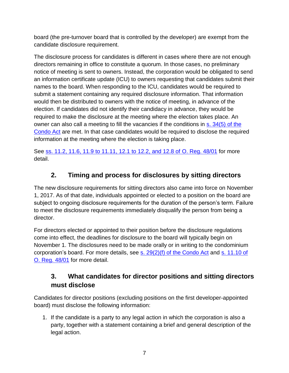board (the pre-turnover board that is controlled by the developer) are exempt from the candidate disclosure requirement.

The disclosure process for candidates is different in cases where there are not enough directors remaining in office to constitute a quorum. In those cases, no preliminary notice of meeting is sent to owners. Instead, the corporation would be obligated to send an information certificate update (ICU) to owners requesting that candidates submit their names to the board. When responding to the ICU, candidates would be required to submit a statement containing any required disclosure information. That information would then be distributed to owners with the notice of meeting, in advance of the election. If candidates did not identify their candidacy in advance, they would be required to make the disclosure at the meeting where the election takes place. An owner can also call a meeting to fill the vacancies if the conditions in s. 34(5) of the [Condo Act](https://www.ontario.ca/laws/statute/98c19) are met. In that case candidates would be required to disclose the required information at the meeting where the election is taking place.

See ss. [11.2, 11.6, 11.9 to 11.11, 12.1 to 12.2, and 12.8 of O. Reg. 48/01](https://www.ontario.ca/laws/regulation/010048) for more detail.

## **2. Timing and process for disclosures by sitting directors**

<span id="page-7-0"></span>The new disclosure requirements for sitting directors also came into force on November 1, 2017. As of that date, individuals appointed or elected to a position on the board are subject to ongoing disclosure requirements for the duration of the person's term. Failure to meet the disclosure requirements immediately disqualify the person from being a director.

For directors elected or appointed to their position before the disclosure regulations come into effect, the deadlines for disclosure to the board will typically begin on November 1. The disclosures need to be made orally or in writing to the condominium corporation's board. For more details, see [s. 29\(2\)\(f\) of the Condo Act](https://www.ontario.ca/laws/statute/98c19) and s. [11.10](https://www.ontario.ca/laws/regulation/010048) of [O. Reg. 48/01](https://www.ontario.ca/laws/regulation/010048) for more detail.

#### <span id="page-7-1"></span>**3. What candidates for director positions and sitting directors must disclose**

Candidates for director positions (excluding positions on the first developer-appointed board) must disclose the following information:

1. If the candidate is a party to any legal action in which the corporation is also a party, together with a statement containing a brief and general description of the legal action.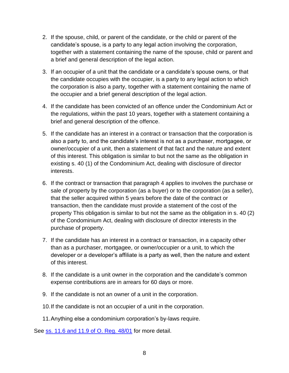- 2. If the spouse, child, or parent of the candidate, or the child or parent of the candidate's spouse, is a party to any legal action involving the corporation, together with a statement containing the name of the spouse, child or parent and a brief and general description of the legal action.
- 3. If an occupier of a unit that the candidate or a candidate's spouse owns, or that the candidate occupies with the occupier, is a party to any legal action to which the corporation is also a party, together with a statement containing the name of the occupier and a brief general description of the legal action.
- 4. If the candidate has been convicted of an offence under the Condominium Act or the regulations, within the past 10 years, together with a statement containing a brief and general description of the offence.
- 5. If the candidate has an interest in a contract or transaction that the corporation is also a party to, and the candidate's interest is not as a purchaser, mortgagee, or owner/occupier of a unit, then a statement of that fact and the nature and extent of this interest. This obligation is similar to but not the same as the obligation in existing s. 40 (1) of the Condominium Act, dealing with disclosure of director interests.
- 6. If the contract or transaction that paragraph 4 applies to involves the purchase or sale of property by the corporation (as a buyer) or to the corporation (as a seller), that the seller acquired within 5 years before the date of the contract or transaction, then the candidate must provide a statement of the cost of the property This obligation is similar to but not the same as the obligation in s. 40 (2) of the Condominium Act, dealing with disclosure of director interests in the purchase of property.
- 7. If the candidate has an interest in a contract or transaction, in a capacity other than as a purchaser, mortgagee, or owner/occupier or a unit, to which the developer or a developer's affiliate is a party as well, then the nature and extent of this interest.
- 8. If the candidate is a unit owner in the corporation and the candidate's common expense contributions are in arrears for 60 days or more.
- 9. If the candidate is not an owner of a unit in the corporation.
- 10.If the candidate is not an occupier of a unit in the corporation.
- 11.Anything else a condominium corporation's by-laws require.

See <u>ss. [11.6 and 11.9 of O. Reg. 48/01](https://www.ontario.ca/laws/regulation/010048)</u> for more detail.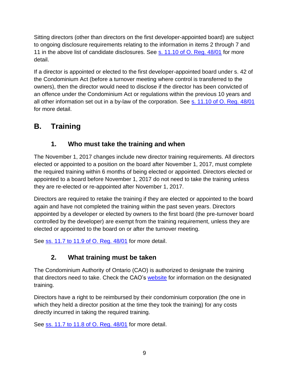Sitting directors (other than directors on the first developer-appointed board) are subject to ongoing disclosure requirements relating to the information in items 2 through 7 and 11 in the above list of candidate disclosures. See [s. 11.10 of O. Reg. 48/01](https://www.ontario.ca/laws/regulation/010048) for more detail.

If a director is appointed or elected to the first developer-appointed board under s. 42 of the Condominium Act (before a turnover meeting where control is transferred to the owners), then the director would need to disclose if the director has been convicted of an offence under the Condominium Act or regulations within the previous 10 years and all other information set out in a by-law of the corporation. See [s. 11.10 of O. Reg. 48/01](https://www.ontario.ca/laws/regulation/010048) for more detail.

## <span id="page-9-1"></span><span id="page-9-0"></span>**B. Training**

## **1. Who must take the training and when**

The November 1, 2017 changes include new director training requirements. All directors elected or appointed to a position on the board after November 1, 2017, must complete the required training within 6 months of being elected or appointed. Directors elected or appointed to a board before November 1, 2017 do not need to take the training unless they are re-elected or re-appointed after November 1, 2017.

Directors are required to retake the training if they are elected or appointed to the board again and have not completed the training within the past seven years. Directors appointed by a developer or elected by owners to the first board (the pre-turnover board controlled by the developer) are exempt from the training requirement, unless they are elected or appointed to the board on or after the turnover meeting.

<span id="page-9-2"></span>See ss. 11.7 to 11.9 [of O. Reg. 48/01](https://www.ontario.ca/laws/regulation/010048) for more detail.

## **2. What training must be taken**

The Condominium Authority of Ontario (CAO) is authorized to designate the training that directors need to take. Check the CAO's [website](https://www.condoauthorityontario.ca/en-US/training/) for information on the designated training.

Directors have a right to be reimbursed by their condominium corporation (the one in which they held a director position at the time they took the training) for any costs directly incurred in taking the required training.

See ss. [11.7 to 11.8 of O. Reg. 48/01](https://www.ontario.ca/laws/regulation/010048) for more detail.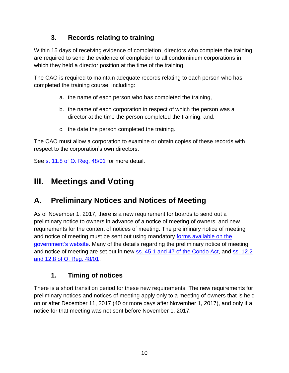## **3. Records relating to training**

<span id="page-10-0"></span>Within 15 days of receiving evidence of completion, directors who complete the training are required to send the evidence of completion to all condominium corporations in which they held a director position at the time of the training.

The CAO is required to maintain adequate records relating to each person who has completed the training course, including:

- a. the name of each person who has completed the training,
- b. the name of each corporation in respect of which the person was a director at the time the person completed the training, and,
- c. the date the person completed the training.

The CAO must allow a corporation to examine or obtain copies of these records with respect to the corporation's own directors.

See s. [11.8 of O. Reg. 48/01](https://www.ontario.ca/laws/regulation/010048) for more detail.

## <span id="page-10-1"></span>**III. Meetings and Voting**

## <span id="page-10-2"></span>**A. Preliminary Notices and Notices of Meeting**

As of November 1, 2017, there is a new requirement for boards to send out a preliminary notice to owners in advance of a notice of meeting of owners, and new requirements for the content of notices of meeting. The preliminary notice of meeting and notice of meeting must be sent out using mandatory [forms available on the](https://www.ontario.ca/search/land-registration?sort=desc&field_forms_act_tid=condominium)  [government's website.](https://www.ontario.ca/search/land-registration?sort=desc&field_forms_act_tid=condominium) Many of the details regarding the preliminary notice of meeting and notice of meeting are set out in new [ss. 45.1 and 47 of the Condo Act,](https://www.ontario.ca/laws/statute/98c19) and ss. 12.2 [and 12.8 of O. Reg. 48/01.](https://www.ontario.ca/laws/regulation/010048)

## **1. Timing of notices**

<span id="page-10-3"></span>There is a short transition period for these new requirements. The new requirements for preliminary notices and notices of meeting apply only to a meeting of owners that is held on or after December 11, 2017 (40 or more days after November 1, 2017), and only if a notice for that meeting was not sent before November 1, 2017.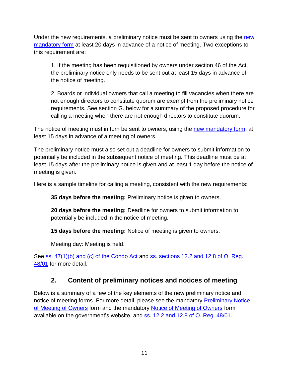Under the [new](https://files.ontario.ca/preliminary_notice_of_meeting_of_owners_en.pdf) requirements, a preliminary notice must be sent to owners using the new [mandatory form](https://files.ontario.ca/preliminary_notice_of_meeting_of_owners_en.pdf) at least 20 days in advance of a notice of meeting. Two exceptions to this requirement are:

1. If the meeting has been requisitioned by owners under section 46 of the Act, the preliminary notice only needs to be sent out at least 15 days in advance of the notice of meeting.

2. Boards or individual owners that call a meeting to fill vacancies when there are not enough directors to constitute quorum are exempt from the preliminary notice requirements. See section G. below for a summary of the proposed procedure for calling a meeting when there are not enough directors to constitute quorum.

The notice of meeting must in turn be sent to owners, using the [new mandatory form,](https://files.ontario.ca/notice_of_meeting_of_owners_en.pdf) at least 15 days in advance of a meeting of owners.

The preliminary notice must also set out a deadline for owners to submit information to potentially be included in the subsequent notice of meeting. This deadline must be at least 15 days after the preliminary notice is given and at least 1 day before the notice of meeting is given.

Here is a sample timeline for calling a meeting, consistent with the new requirements:

**35 days before the meeting:** Preliminary notice is given to owners.

**20 days before the meeting:** Deadline for owners to submit information to potentially be included in the notice of meeting.

**15 days before the meeting:** Notice of meeting is given to owners.

Meeting day: Meeting is held.

See ss. [47\(1\)\(b\) and \(c\) of the Condo Act](https://www.ontario.ca/laws/statute/98c19) and ss. sections 12.2 and 12.8 of O. Reg. [48/01](https://www.ontario.ca/laws/regulation/010048) for more detail.

#### **2. Content of preliminary notices and notices of meeting**

<span id="page-11-0"></span>Below is a summary of a few of the key elements of the new preliminary notice and notice of meeting forms. For more detail, please see the mandatory **Preliminary Notice** [of Meeting of Owners](https://files.ontario.ca/preliminary_notice_of_meeting_of_owners_en.pdf) form and the mandatory [Notice of Meeting of Owners](https://files.ontario.ca/notice_of_meeting_of_owners_en.pdf) form available on the government's website, and [ss. 12.2 and 12.8 of O. Reg. 48/01.](https://www.ontario.ca/laws/regulation/010048)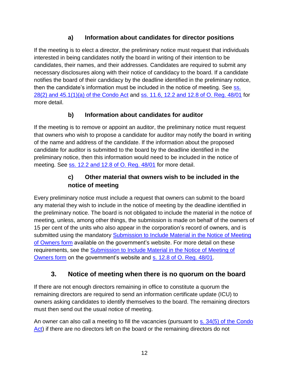#### **a) Information about candidates for director positions**

If the meeting is to elect a director, the preliminary notice must request that individuals interested in being candidates notify the board in writing of their intention to be candidates, their names, and their addresses. Candidates are required to submit any necessary disclosures along with their notice of candidacy to the board. If a candidate notifies the board of their candidacy by the deadline identified in the preliminary notice, then the candidate's information must be included in the notice of meeting. See ss. [28\(2\) and 45.1\(1\)\(a\) of the Condo Act](https://www.ontario.ca/laws/statute/98c19) and [ss. 11.6, 12.2 and 12.8 of O. Reg. 48/01](https://www.ontario.ca/laws/regulation/010048) for more detail.

#### **b) Information about candidates for auditor**

If the meeting is to remove or appoint an auditor, the preliminary notice must request that owners who wish to propose a candidate for auditor may notify the board in writing of the name and address of the candidate. If the information about the proposed candidate for auditor is submitted to the board by the deadline identified in the preliminary notice, then this information would need to be included in the notice of meeting. See ss. [12.2 and 12.8 of O. Reg. 48/01](https://www.ontario.ca/laws/regulation/010048) for more detail.

#### **c) Other material that owners wish to be included in the notice of meeting**

Every preliminary notice must include a request that owners can submit to the board any material they wish to include in the notice of meeting by the deadline identified in the preliminary notice. The board is not obligated to include the material in the notice of meeting, unless, among other things, the submission is made on behalf of the owners of 15 per cent of the units who also appear in the corporation's record of owners, and is submitted using the mandatory [Submission to Include Material in the Notice of Meeting](https://files.ontario.ca/submission_to_include_material_in_the_notice_of_meeting_of_owners_en.pdf)  [of Owners form](https://files.ontario.ca/submission_to_include_material_in_the_notice_of_meeting_of_owners_en.pdf) available on the government's website. For more detail on these requirements, see the [Submission to Include Material in the Notice of Meeting of](https://files.ontario.ca/submission_to_include_material_in_the_notice_of_meeting_of_owners_en.pdf)  [Owners form](https://files.ontario.ca/submission_to_include_material_in_the_notice_of_meeting_of_owners_en.pdf) on the government's website and [s. 12.8 of O. Reg. 48/01.](https://www.ontario.ca/laws/regulation/010048)

## **3. Notice of meeting when there is no quorum on the board**

<span id="page-12-0"></span>If there are not enough directors remaining in office to constitute a quorum the remaining directors are required to send an information certificate update (ICU) to owners asking candidates to identify themselves to the board. The remaining directors must then send out the usual notice of meeting.

An owner can also call a meeting to fill the vacancies (pursuant to s. [34\(5\) of the Condo](https://www.ontario.ca/laws/statute/98c19)  [Act\)](https://www.ontario.ca/laws/statute/98c19) if there are no directors left on the board or the remaining directors do not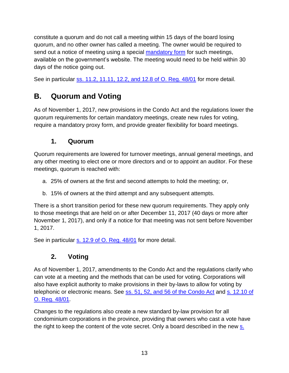constitute a quorum and do not call a meeting within 15 days of the board losing quorum, and no other owner has called a meeting. The owner would be required to send out a notice of meeting using a special [mandatory form](https://files.ontario.ca/notice_of_meeting_of_owners_under_s._34_5_of_the_condominium_act_en.pdf) for such meetings, available on the government's website. The meeting would need to be held within 30 days of the notice going out.

See in particular ss. [11.2, 11.11, 12.2, and 12.8 of O. Reg. 48/01](https://www.ontario.ca/laws/regulation/010048) for more detail.

## <span id="page-13-0"></span>**B. Quorum and Voting**

As of November 1, 2017, new provisions in the Condo Act and the regulations lower the quorum requirements for certain mandatory meetings, create new rules for voting, require a mandatory proxy form, and provide greater flexibility for board meetings.

#### **1. Quorum**

<span id="page-13-1"></span>Quorum requirements are lowered for turnover meetings, annual general meetings, and any other meeting to elect one or more directors and or to appoint an auditor. For these meetings, quorum is reached with:

- a. 25% of owners at the first and second attempts to hold the meeting; or,
- b. 15% of owners at the third attempt and any subsequent attempts.

There is a short transition period for these new quorum requirements. They apply only to those meetings that are held on or after December 11, 2017 (40 days or more after November 1, 2017), and only if a notice for that meeting was not sent before November 1, 2017.

<span id="page-13-2"></span>See in particular s. [12.9 of O. Reg. 48/01](https://www.ontario.ca/laws/regulation/010048) for more detail.

## **2. Voting**

As of November 1, 2017, amendments to the Condo Act and the regulations clarify who can vote at a meeting and the methods that can be used for voting. Corporations will also have explicit authority to make provisions in their by-laws to allow for voting by telephonic or electronic means. See [ss. 51, 52, and 56](https://www.ontario.ca/laws/statute/98c19) of the Condo Act and [s. 12.10 of](https://www.ontario.ca/laws/regulation/010048)  [O. Reg. 48/01.](https://www.ontario.ca/laws/regulation/010048)

Changes to the regulations also create a new standard by-law provision for all condominium corporations in the province, providing that owners who cast a vote have the right to keep the content of the vote secret. Only a board described in the new [s.](https://www.ontario.ca/laws/statute/98c19)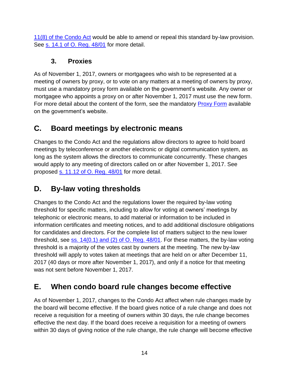[11\(8\) of the Condo Act](https://www.ontario.ca/laws/statute/98c19) would be able to amend or repeal this standard by-law provision. See [s. 14.1 of O. Reg. 48/01](https://www.ontario.ca/laws/regulation/010048) for more detail.

#### **3. Proxies**

<span id="page-14-0"></span>As of November 1, 2017, owners or mortgagees who wish to be represented at a meeting of owners by proxy, or to vote on any matters at a meeting of owners by proxy, must use a mandatory proxy form available on the government's website. Any owner or mortgagee who appoints a proxy on or after November 1, 2017 must use the new form. For more detail about the content of the form, see the mandatory [Proxy Form](https://files.ontario.ca/proxy_form_en.pdf) available on the government's website.

## <span id="page-14-1"></span>**C. Board meetings by electronic means**

Changes to the Condo Act and the regulations allow directors to agree to hold board meetings by teleconference or another electronic or digital communication system, as long as the system allows the directors to communicate concurrently. These changes would apply to any meeting of directors called on or after November 1, 2017. See proposed s. [11.12 of O. Reg. 48/01](https://www.ontario.ca/laws/regulation/010048) for more detail.

## <span id="page-14-2"></span>**D. By-law voting thresholds**

Changes to the Condo Act and the regulations lower the required by-law voting threshold for specific matters, including to allow for voting at owners' meetings by telephonic or electronic means, to add material or information to be included in information certificates and meeting notices, and to add additional disclosure obligations for candidates and directors. For the complete list of matters subject to the new lower threshold, see [ss. 14\(0.1\) and \(2\) of O. Reg. 48/01.](https://www.ontario.ca/laws/regulation/010048) For these matters, the by-law voting threshold is a majority of the votes cast by owners at the meeting. The new by-law threshold will apply to votes taken at meetings that are held on or after December 11, 2017 (40 days or more after November 1, 2017), and only if a notice for that meeting was not sent before November 1, 2017.

## <span id="page-14-3"></span>**E. When condo board rule changes become effective**

As of November 1, 2017, changes to the Condo Act affect when rule changes made by the board will become effective. If the board gives notice of a rule change and does not receive a requisition for a meeting of owners within 30 days, the rule change becomes effective the next day. If the board does receive a requisition for a meeting of owners within 30 days of giving notice of the rule change, the rule change will become effective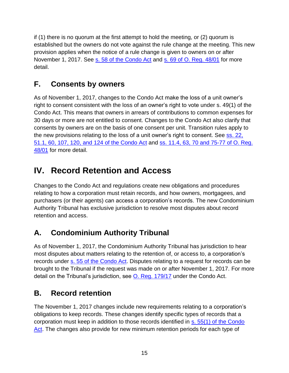if (1) there is no quorum at the first attempt to hold the meeting, or (2) quorum is established but the owners do not vote against the rule change at the meeting. This new provision applies when the notice of a rule change is given to owners on or after November 1, 2017. See [s. 58 of the Condo](https://www.ontario.ca/laws/statute/98c19) Act and [s. 69 of O. Reg. 48/01](https://www.ontario.ca/laws/regulation/010048) for more detail.

## <span id="page-15-0"></span>**F. Consents by owners**

As of November 1, 2017, changes to the Condo Act make the loss of a unit owner's right to consent consistent with the loss of an owner's right to vote under s. 49(1) of the Condo Act. This means that owners in arrears of contributions to common expenses for 30 days or more are not entitled to consent. Changes to the Condo Act also clarify that consents by owners are on the basis of one consent per unit. Transition rules apply to the new provisions relating to the loss of a unit owner's right to consent. See ss. 22, [51.1, 60, 107, 120, and](https://www.ontario.ca/laws/statute/98c19) 124 of the Condo Act and ss. 11.4, 63, 70 [and 75-77 of O. Reg.](https://www.ontario.ca/laws/regulation/010048)  [48/01](https://www.ontario.ca/laws/regulation/010048) for more detail.

# <span id="page-15-1"></span>**IV. Record Retention and Access**

Changes to the Condo Act and regulations create new obligations and procedures relating to how a corporation must retain records, and how owners, mortgagees, and purchasers (or their agents) can access a corporation's records. The new Condominium Authority Tribunal has exclusive jurisdiction to resolve most disputes about record retention and access.

## <span id="page-15-2"></span>**A. Condominium Authority Tribunal**

As of November 1, 2017, the Condominium Authority Tribunal has jurisdiction to hear most disputes about matters relating to the retention of, or access to, a corporation's records under [s. 55 of the Condo Act.](https://www.ontario.ca/laws/statute/98c19) Disputes relating to a request for records can be brought to the Tribunal if the request was made on or after November 1, 2017. For more detail on the Tribunal's jurisdiction, see [O. Reg. 179/17](https://www.ontario.ca/laws/regulation/170179) under the Condo Act.

## <span id="page-15-3"></span>**B. Record retention**

The November 1, 2017 changes include new requirements relating to a corporation's obligations to keep records. These changes identify specific types of records that a corporation must keep in addition to those records identified in s. [55\(1\) of the Condo](https://www.ontario.ca/laws/statute/98c19)  [Act.](https://www.ontario.ca/laws/statute/98c19) The changes also provide for new minimum retention periods for each type of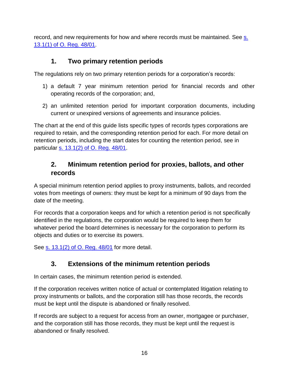record, and new requirements for how and where records must be maintained. See s. [13.1\(1\) of O. Reg. 48/01.](https://www.ontario.ca/laws/regulation/010048)

## **1. Two primary retention periods**

<span id="page-16-0"></span>The regulations rely on two primary retention periods for a corporation's records:

- 1) a default 7 year minimum retention period for financial records and other operating records of the corporation; and,
- 2) an unlimited retention period for important corporation documents, including current or unexpired versions of agreements and insurance policies.

The chart at the end of this guide lists specific types of records types corporations are required to retain, and the corresponding retention period for each. For more detail on retention periods, including the start dates for counting the retention period, see in particular s. 13.1(2) [of O. Reg. 48/01.](https://www.ontario.ca/laws/regulation/010048)

#### <span id="page-16-1"></span>**2. Minimum retention period for proxies, ballots, and other records**

A special minimum retention period applies to proxy instruments, ballots, and recorded votes from meetings of owners: they must be kept for a minimum of 90 days from the date of the meeting.

For records that a corporation keeps and for which a retention period is not specifically identified in the regulations, the corporation would be required to keep them for whatever period the board determines is necessary for the corporation to perform its objects and duties or to exercise its powers.

<span id="page-16-2"></span>See <u>s. 13.1(2) [of O. Reg. 48/01](https://www.ontario.ca/laws/regulation/010048)</u> for more detail.

## **3. Extensions of the minimum retention periods**

In certain cases, the minimum retention period is extended.

If the corporation receives written notice of actual or contemplated litigation relating to proxy instruments or ballots, and the corporation still has those records, the records must be kept until the dispute is abandoned or finally resolved.

If records are subject to a request for access from an owner, mortgagee or purchaser, and the corporation still has those records, they must be kept until the request is abandoned or finally resolved.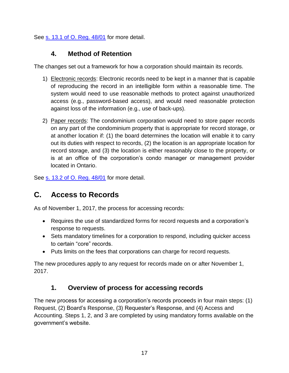<span id="page-17-0"></span>See s. [13.1 of O. Reg. 48/01](https://www.ontario.ca/laws/regulation/010048) for more detail.

#### **4. Method of Retention**

The changes set out a framework for how a corporation should maintain its records.

- 1) Electronic records: Electronic records need to be kept in a manner that is capable of reproducing the record in an intelligible form within a reasonable time. The system would need to use reasonable methods to protect against unauthorized access (e.g., password-based access), and would need reasonable protection against loss of the information (e.g., use of back-ups).
- 2) Paper records: The condominium corporation would need to store paper records on any part of the condominium property that is appropriate for record storage, or at another location if: (1) the board determines the location will enable it to carry out its duties with respect to records, (2) the location is an appropriate location for record storage, and (3) the location is either reasonably close to the property, or is at an office of the corporation's condo manager or management provider located in Ontario.

See [s. 13.2 of O. Reg. 48/01](https://www.ontario.ca/laws/regulation/010048) for more detail.

## <span id="page-17-1"></span>**C. Access to Records**

As of November 1, 2017, the process for accessing records:

- Requires the use of standardized forms for record requests and a corporation's response to requests.
- Sets mandatory timelines for a corporation to respond, including quicker access to certain "core" records.
- Puts limits on the fees that corporations can charge for record requests.

The new procedures apply to any request for records made on or after November 1, 2017.

## **1. Overview of process for accessing records**

<span id="page-17-2"></span>The new process for accessing a corporation's records proceeds in four main steps: (1) Request, (2) Board's Response, (3) Requester's Response, and (4) Access and Accounting. Steps 1, 2, and 3 are completed by using mandatory forms available on the government's website.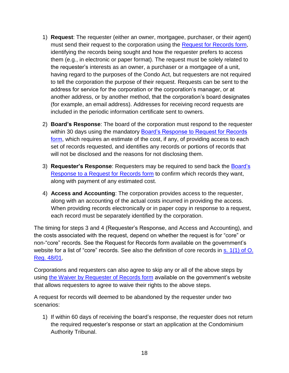- 1) **Request**: The requester (either an owner, mortgagee, purchaser, or their agent) must send their request to the corporation using the [Request for Records](https://files.ontario.ca/request_for_records_en.pdf) form, identifying the records being sought and how the requester prefers to access them (e.g., in electronic or paper format). The request must be solely related to the requester's interests as an owner, a purchaser or a mortgagee of a unit, having regard to the purposes of the Condo Act, but requesters are not required to tell the corporation the purpose of their request. Requests can be sent to the address for service for the corporation or the corporation's manager, or at another address, or by another method, that the corporation's board designates (for example, an email address). Addresses for receiving record requests are included in the periodic information certificate sent to owners.
- 2) **Board's Response**: The board of the corporation must respond to the requester within 30 days using the mandatory **Board's Response to Request for Records** [form,](https://files.ontario.ca/baords_response_to_request_for_records_en.pdf) which requires an estimate of the cost, if any, of providing access to each set of records requested, and identifies any records or portions of records that will not be disclosed and the reasons for not disclosing them.
- 3) **Requester's Response**: Requesters may be required to send back the [Board's](https://files.ontario.ca/baords_response_to_request_for_records_en.pdf)  [Response to a Request for Records](https://files.ontario.ca/baords_response_to_request_for_records_en.pdf) form to confirm which records they want, along with payment of any estimated cost.
- 4) **Access and Accounting**: The corporation provides access to the requester, along with an accounting of the actual costs incurred in providing the access. When providing records electronically or in paper copy in response to a request, each record must be separately identified by the corporation.

The timing for steps 3 and 4 (Requester's Response, and Access and Accounting), and the costs associated with the request, depend on whether the request is for "core" or non-"core" records. See the Request for Records form available on the government's website for a list of "core" records. See also the definition of core records in [s. 1\(1\)](https://www.ontario.ca/laws/regulation/010048) of O. [Reg. 48/01.](https://www.ontario.ca/laws/regulation/010048)

Corporations and requesters can also agree to skip any or all of the above steps by using [the Waiver by Requester of Records form](https://files.ontario.ca/waiver_by_requester_of_records_en.pdf) available on the government's website that allows requesters to agree to waive their rights to the above steps.

A request for records will deemed to be abandoned by the requester under two scenarios:

1) If within 60 days of receiving the board's response, the requester does not return the required requester's response or start an application at the Condominium Authority Tribunal.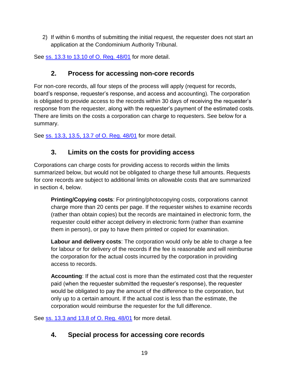2) If within 6 months of submitting the initial request, the requester does not start an application at the Condominium Authority Tribunal.

<span id="page-19-0"></span>See ss. 13.3 to 13.10 [of O. Reg. 48/01](https://www.ontario.ca/laws/regulation/010048) for more detail.

#### **2. Process for accessing non-core records**

For non-core records, all four steps of the process will apply (request for records, board's response, requester's response, and access and accounting). The corporation is obligated to provide access to the records within 30 days of receiving the requester's response from the requester, along with the requester's payment of the estimated costs. There are limits on the costs a corporation can charge to requesters. See below for a summary.

<span id="page-19-1"></span>See ss. 13.3, 13.5, 13.7 [of O. Reg. 48/01](https://www.ontario.ca/laws/regulation/010048) for more detail.

#### **3. Limits on the costs for providing access**

Corporations can charge costs for providing access to records within the limits summarized below, but would not be obligated to charge these full amounts. Requests for core records are subject to additional limits on allowable costs that are summarized in section 4, below.

**Printing/Copying costs**: For printing/photocopying costs, corporations cannot charge more than 20 cents per page. If the requester wishes to examine records (rather than obtain copies) but the records are maintained in electronic form, the requester could either accept delivery in electronic form (rather than examine them in person), or pay to have them printed or copied for examination.

**Labour and delivery costs**: The corporation would only be able to charge a fee for labour or for delivery of the records if the fee is reasonable and will reimburse the corporation for the actual costs incurred by the corporation in providing access to records.

**Accounting**: If the actual cost is more than the estimated cost that the requester paid (when the requester submitted the requester's response), the requester would be obligated to pay the amount of the difference to the corporation, but only up to a certain amount. If the actual cost is less than the estimate, the corporation would reimburse the requester for the full difference.

<span id="page-19-2"></span>See <u>ss. [13.3 and 13.8 of O. Reg. 48/01](https://www.ontario.ca/laws/regulation/010048)</u> for more detail.

## **4. Special process for accessing core records**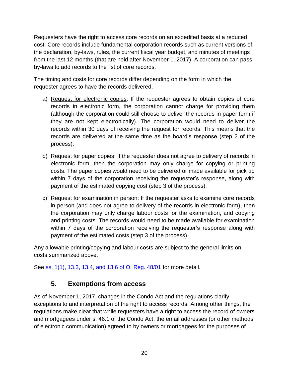Requesters have the right to access core records on an expedited basis at a reduced cost. Core records include fundamental corporation records such as current versions of the declaration, by-laws, rules, the current fiscal year budget, and minutes of meetings from the last 12 months (that are held after November 1, 2017). A corporation can pass by-laws to add records to the list of core records.

The timing and costs for core records differ depending on the form in which the requester agrees to have the records delivered.

- a) Request for electronic copies: If the requester agrees to obtain copies of core records in electronic form, the corporation cannot charge for providing them (although the corporation could still choose to deliver the records in paper form if they are not kept electronically). The corporation would need to deliver the records within 30 days of receiving the request for records. This means that the records are delivered at the same time as the board's response (step 2 of the process).
- b) Request for paper copies: If the requester does not agree to delivery of records in electronic form, then the corporation may only charge for copying or printing costs. The paper copies would need to be delivered or made available for pick up within 7 days of the corporation receiving the requester's response, along with payment of the estimated copying cost (step 3 of the process).
- c) Request for examination in person: If the requester asks to examine core records in person (and does not agree to delivery of the records in electronic form), then the corporation may only charge labour costs for the examination, and copying and printing costs. The records would need to be made available for examination within 7 days of the corporation receiving the requester's response along with payment of the estimated costs (step 3 of the process).

Any allowable printing/copying and labour costs are subject to the general limits on costs summarized above.

<span id="page-20-0"></span>See [ss. 1\(1\), 13.3, 13.4, and 13.6 of O. Reg. 48/01](https://www.ontario.ca/laws/regulation/010048) for more detail.

#### **5. Exemptions from access**

As of November 1, 2017, changes in the Condo Act and the regulations clarify exceptions to and interpretation of the right to access records. Among other things, the regulations make clear that while requesters have a right to access the record of owners and mortgagees under s. 46.1 of the Condo Act, the email addresses (or other methods of electronic communication) agreed to by owners or mortgagees for the purposes of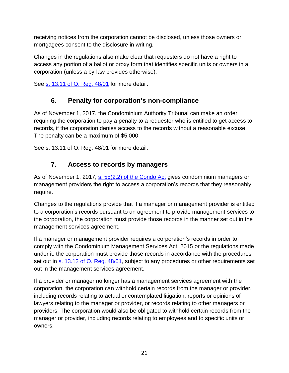receiving notices from the corporation cannot be disclosed, unless those owners or mortgagees consent to the disclosure in writing.

Changes in the regulations also make clear that requesters do not have a right to access any portion of a ballot or proxy form that identifies specific units or owners in a corporation (unless a by-law provides otherwise).

<span id="page-21-0"></span>See s. 13.11 [of O. Reg. 48/01](https://www.ontario.ca/laws/regulation/010048) for more detail.

## **6. Penalty for corporation's non-compliance**

As of November 1, 2017, the Condominium Authority Tribunal can make an order requiring the corporation to pay a penalty to a requester who is entitled to get access to records, if the corporation denies access to the records without a reasonable excuse. The penalty can be a maximum of \$5,000.

<span id="page-21-1"></span>See s. 13.11 of O. Reg. 48/01 for more detail.

## **7. Access to records by managers**

As of November 1, 2017, s. [55\(2.2\) of the Condo Act](https://www.ontario.ca/laws/statute/98c19) gives condominium managers or management providers the right to access a corporation's records that they reasonably require.

Changes to the regulations provide that if a manager or management provider is entitled to a corporation's records pursuant to an agreement to provide management services to the corporation, the corporation must provide those records in the manner set out in the management services agreement.

If a manager or management provider requires a corporation's records in order to comply with the Condominium Management Services Act, 2015 or the regulations made under it, the corporation must provide those records in accordance with the procedures set out in [s. 13.12 of O. Reg. 48/01,](https://www.ontario.ca/laws/regulation/010048) subject to any procedures or other requirements set out in the management services agreement.

If a provider or manager no longer has a management services agreement with the corporation, the corporation can withhold certain records from the manager or provider, including records relating to actual or contemplated litigation, reports or opinions of lawyers relating to the manager or provider, or records relating to other managers or providers. The corporation would also be obligated to withhold certain records from the manager or provider, including records relating to employees and to specific units or owners.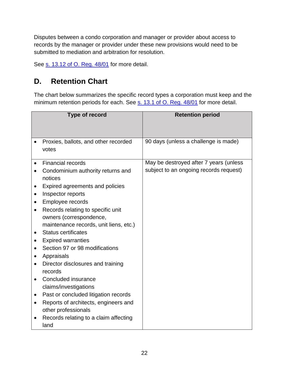Disputes between a condo corporation and manager or provider about access to records by the manager or provider under these new provisions would need to be submitted to mediation and arbitration for resolution.

See s. [13.12 of O. Reg. 48/01](https://www.ontario.ca/laws/regulation/010048) for more detail.

## <span id="page-22-0"></span>**D. Retention Chart**

The chart below summarizes the specific record types a corporation must keep and the minimum retention periods for each. See s. [13.1 of O. Reg. 48/01](https://www.ontario.ca/laws/regulation/010048) for more detail.

| Type of record                                                                                                                                                                                                                                                                                                                                                                                                                                                                                                                                                                                                                                                                                                                                           | <b>Retention period</b>                                                          |
|----------------------------------------------------------------------------------------------------------------------------------------------------------------------------------------------------------------------------------------------------------------------------------------------------------------------------------------------------------------------------------------------------------------------------------------------------------------------------------------------------------------------------------------------------------------------------------------------------------------------------------------------------------------------------------------------------------------------------------------------------------|----------------------------------------------------------------------------------|
| Proxies, ballots, and other recorded<br>votes                                                                                                                                                                                                                                                                                                                                                                                                                                                                                                                                                                                                                                                                                                            | 90 days (unless a challenge is made)                                             |
| <b>Financial records</b><br>Condominium authority returns and<br>$\bullet$<br>notices<br>Expired agreements and policies<br>٠<br>Inspector reports<br>٠<br>Employee records<br>Records relating to specific unit<br>$\bullet$<br>owners (correspondence,<br>maintenance records, unit liens, etc.)<br><b>Status certificates</b><br>$\bullet$<br><b>Expired warranties</b><br>$\bullet$<br>Section 97 or 98 modifications<br>Appraisals<br>$\bullet$<br>Director disclosures and training<br>$\bullet$<br>records<br>Concluded insurance<br>$\bullet$<br>claims/investigations<br>Past or concluded litigation records<br>٠<br>Reports of architects, engineers and<br>$\bullet$<br>other professionals<br>Records relating to a claim affecting<br>land | May be destroyed after 7 years (unless<br>subject to an ongoing records request) |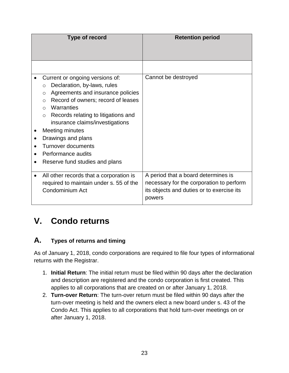| Type of record                                                                                                                                                                                                                                                                                                                                                                                                                 | <b>Retention period</b>                                                                                                                |
|--------------------------------------------------------------------------------------------------------------------------------------------------------------------------------------------------------------------------------------------------------------------------------------------------------------------------------------------------------------------------------------------------------------------------------|----------------------------------------------------------------------------------------------------------------------------------------|
|                                                                                                                                                                                                                                                                                                                                                                                                                                |                                                                                                                                        |
|                                                                                                                                                                                                                                                                                                                                                                                                                                |                                                                                                                                        |
| Current or ongoing versions of:<br>Declaration, by-laws, rules<br>$\circ$<br>Agreements and insurance policies<br>$\circ$<br>Record of owners; record of leases<br>$\circ$<br>Warranties<br>$\Omega$<br>Records relating to litigations and<br>$\circ$<br>insurance claims/investigations<br><b>Meeting minutes</b><br>Drawings and plans<br><b>Turnover documents</b><br>Performance audits<br>Reserve fund studies and plans | Cannot be destroyed                                                                                                                    |
| All other records that a corporation is<br>required to maintain under s. 55 of the<br>Condominium Act                                                                                                                                                                                                                                                                                                                          | A period that a board determines is<br>necessary for the corporation to perform<br>its objects and duties or to exercise its<br>powers |

## <span id="page-23-0"></span>**V. Condo returns**

#### <span id="page-23-1"></span>**A. Types of returns and timing**

As of January 1, 2018, condo corporations are required to file four types of informational returns with the Registrar.

- 1. **Initial Return**: The initial return must be filed within 90 days after the declaration and description are registered and the condo corporation is first created. This applies to all corporations that are created on or after January 1, 2018.
- 2. **Turn-over Return**: The turn-over return must be filed within 90 days after the turn-over meeting is held and the owners elect a new board under s. 43 of the Condo Act. This applies to all corporations that hold turn-over meetings on or after January 1, 2018.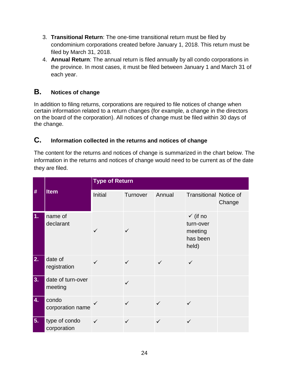- 3. **Transitional Return**: The one-time transitional return must be filed by condominium corporations created before January 1, 2018. This return must be filed by March 31, 2018.
- 4. **Annual Return**: The annual return is filed annually by all condo corporations in the province. In most cases, it must be filed between January 1 and March 31 of each year.

#### <span id="page-24-0"></span>**B. Notices of change**

In addition to filing returns, corporations are required to file notices of change when certain information related to a return changes (for example, a change in the directors on the board of the corporation). All notices of change must be filed within 30 days of the change.

#### <span id="page-24-1"></span>**C. Information collected in the returns and notices of change**

The content for the returns and notices of change is summarized in the chart below. The information in the returns and notices of change would need to be current as of the date they are filed.

| #  | <b>Item</b>                  | <b>Type of Return</b> |              |              |                                                                  |        |  |
|----|------------------------------|-----------------------|--------------|--------------|------------------------------------------------------------------|--------|--|
|    |                              | <b>Initial</b>        | Turnover     | Annual       | <b>Transitional Notice of</b>                                    | Change |  |
| 1. | name of<br>declarant         |                       |              |              | $\checkmark$ (if no<br>turn-over<br>meeting<br>has been<br>held) |        |  |
| 2. | date of<br>registration      |                       |              | $\checkmark$ | $\checkmark$                                                     |        |  |
| 3. | date of turn-over<br>meeting |                       | $\checkmark$ |              |                                                                  |        |  |
| 4. | condo<br>corporation name    |                       | $\checkmark$ | $\checkmark$ | $\checkmark$                                                     |        |  |
| 5. | type of condo<br>corporation | $\checkmark$          | $\checkmark$ | ✓            | $\checkmark$                                                     |        |  |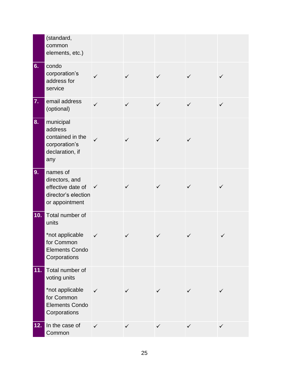|     | (standard,<br>common<br>elements, etc.)                                                                   |              |              |              |              |              |
|-----|-----------------------------------------------------------------------------------------------------------|--------------|--------------|--------------|--------------|--------------|
| 6.  | condo<br>corporation's<br>address for<br>service                                                          | ✓            |              | ✓            | ✓            |              |
| 7.  | email address<br>(optional)                                                                               | $\checkmark$ | $\checkmark$ | $\checkmark$ | $\checkmark$ | ✓            |
| 8.  | municipal<br>address<br>contained in the<br>corporation's<br>declaration, if<br>any                       | ✓            | ✓            | $\checkmark$ | ✓            |              |
| 9.  | names of<br>directors, and<br>effective date of<br>director's election<br>or appointment                  | $\checkmark$ | ✓            | ✓            |              |              |
| 10. | Total number of<br>units<br>*not applicable<br>for Common<br><b>Elements Condo</b><br>Corporations        | $\checkmark$ | ✓            |              |              |              |
| 11. | Total number of<br>voting units<br>*not applicable<br>for Common<br><b>Elements Condo</b><br>Corporations | $\checkmark$ | ✓            | ✓            | ✓            |              |
| 12. | In the case of<br>Common                                                                                  | $\checkmark$ | $\checkmark$ | $\checkmark$ | $\checkmark$ | $\checkmark$ |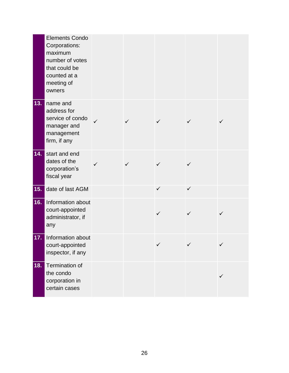|     | <b>Elements Condo</b><br>Corporations:<br>maximum<br>number of votes<br>that could be<br>counted at a<br>meeting of<br>owners |   |   |              |               |                          |
|-----|-------------------------------------------------------------------------------------------------------------------------------|---|---|--------------|---------------|--------------------------|
| 13. | name and<br>address for<br>service of condo<br>manager and<br>management<br>firm, if any                                      |   | ✓ | ✓            |               |                          |
| 14. | start and end<br>dates of the<br>corporation's<br>fiscal year                                                                 | ✓ |   | ✓            | ✓             |                          |
| 15. | date of last AGM                                                                                                              |   |   | $\checkmark$ | $\checkmark$  |                          |
| 16. | Information about<br>court-appointed<br>administrator, if<br>any                                                              |   |   | $\checkmark$ |               |                          |
| 17. | Information about<br>court-appointed<br>inspector, if any                                                                     |   |   | $\sqrt{ }$   | $\mathcal{L}$ | $\overline{\mathcal{L}}$ |
| 18. | Termination of<br>the condo<br>corporation in<br>certain cases                                                                |   |   |              |               | ✓                        |